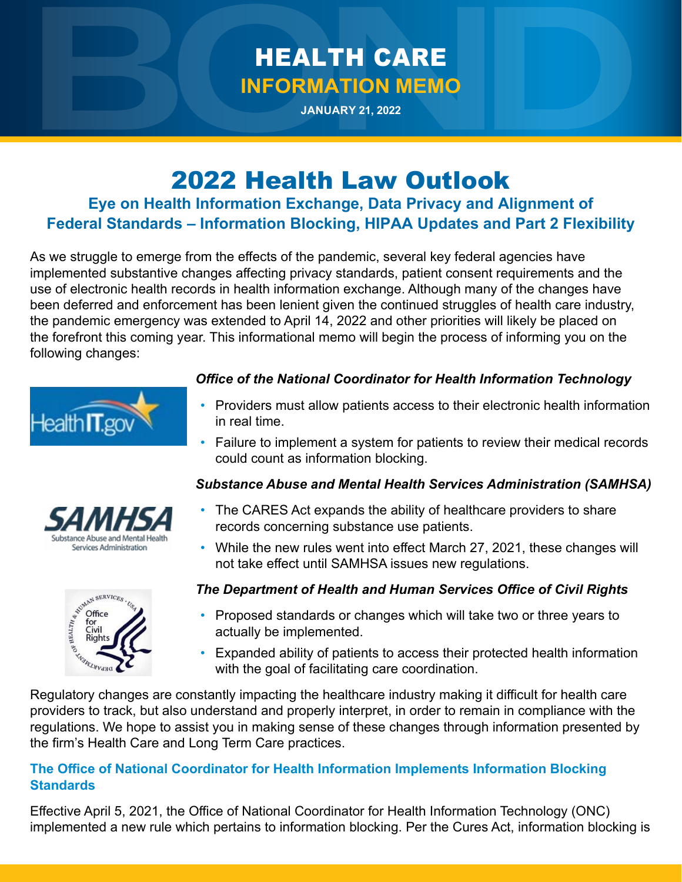# HEALTH CARE **INFORMATION MEMO**

**JANUARY 21, 2022**

## 2022 Health Law Outlook

### **Eye on Health Information Exchange, Data Privacy and Alignment of Federal Standards – Information Blocking, HIPAA Updates and Part 2 Flexibility**

As we struggle to emerge from the effects of the pandemic, several key federal agencies have implemented substantive changes affecting privacy standards, patient consent requirements and the use of electronic health records in health information exchange. Although many of the changes have been deferred and enforcement has been lenient given the continued struggles of health care industry, the pandemic emergency was extended to April 14, 2022 and other priorities will likely be placed on the forefront this coming year. This informational memo will begin the process of informing you on the following changes:



ubstance Abuse and Mental Healt Services Administration

**EXECUTIVE SERVICES** 

č

#### *Office of the National Coordinator for Health Information Technology*

- Providers must allow patients access to their electronic health information in real time.
- Failure to implement a system for patients to review their medical records could count as information blocking.

### *Substance Abuse and Mental Health Services Administration (SAMHSA)*

- The CARES Act expands the ability of healthcare providers to share records concerning substance use patients.
- While the new rules went into effect March 27, 2021, these changes will not take effect until SAMHSA issues new regulations.

#### *The Department of Health and Human Services Office of Civil Rights*

- Proposed standards or changes which will take two or three years to actually be implemented.
- Expanded ability of patients to access their protected health information with the goal of facilitating care coordination.

Regulatory changes are constantly impacting the healthcare industry making it difficult for health care providers to track, but also understand and properly interpret, in order to remain in compliance with the regulations. We hope to assist you in making sense of these changes through information presented by the firm's Health Care and Long Term Care practices.

#### **The Office of National Coordinator for Health Information Implements Information Blocking Standards**

Effective April 5, 2021, the Office of National Coordinator for Health Information Technology (ONC) implemented a new rule which pertains to information blocking. Per the Cures Act, information blocking is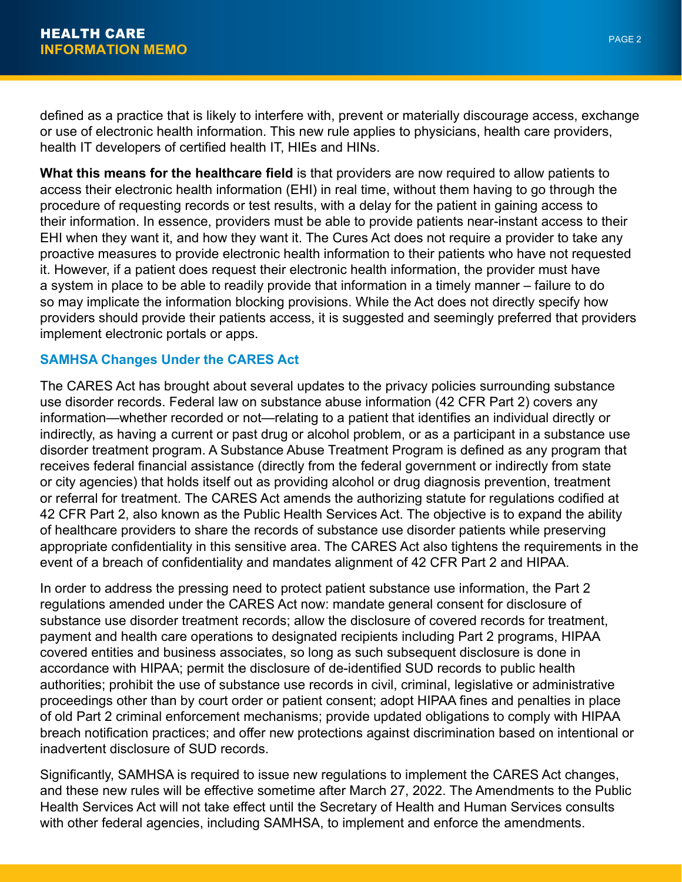defined as a practice that is likely to interfere with, prevent or materially discourage access, exchange or use of electronic health information. This new rule applies to physicians, health care providers, health IT developers of certified health IT, HIEs and HINs.

**What this means for the healthcare field** is that providers are now required to allow patients to access their electronic health information (EHI) in real time, without them having to go through the procedure of requesting records or test results, with a delay for the patient in gaining access to their information. In essence, providers must be able to provide patients near-instant access to their EHI when they want it, and how they want it. The Cures Act does not require a provider to take any proactive measures to provide electronic health information to their patients who have not requested it. However, if a patient does request their electronic health information, the provider must have a system in place to be able to readily provide that information in a timely manner – failure to do so may implicate the information blocking provisions. While the Act does not directly specify how providers should provide their patients access, it is suggested and seemingly preferred that providers implement electronic portals or apps.

#### **SAMHSA Changes Under the CARES Act**

The CARES Act has brought about several updates to the privacy policies surrounding substance use disorder records. Federal law on substance abuse information (42 CFR Part 2) covers any information—whether recorded or not—relating to a patient that identifies an individual directly or indirectly, as having a current or past drug or alcohol problem, or as a participant in a substance use disorder treatment program. A Substance Abuse Treatment Program is defined as any program that receives federal financial assistance (directly from the federal government or indirectly from state or city agencies) that holds itself out as providing alcohol or drug diagnosis prevention, treatment or referral for treatment. The CARES Act amends the authorizing statute for regulations codified at 42 CFR Part 2, also known as the Public Health Services Act. The objective is to expand the ability of healthcare providers to share the records of substance use disorder patients while preserving appropriate confidentiality in this sensitive area. The CARES Act also tightens the requirements in the event of a breach of confidentiality and mandates alignment of 42 CFR Part 2 and HIPAA.

In order to address the pressing need to protect patient substance use information, the Part 2 regulations amended under the CARES Act now: mandate general consent for disclosure of substance use disorder treatment records; allow the disclosure of covered records for treatment, payment and health care operations to designated recipients including Part 2 programs, HIPAA covered entities and business associates, so long as such subsequent disclosure is done in accordance with HIPAA; permit the disclosure of de-identified SUD records to public health authorities; prohibit the use of substance use records in civil, criminal, legislative or administrative proceedings other than by court order or patient consent; adopt HIPAA fines and penalties in place of old Part 2 criminal enforcement mechanisms; provide updated obligations to comply with HIPAA breach notification practices; and offer new protections against discrimination based on intentional or inadvertent disclosure of SUD records.

Significantly, SAMHSA is required to issue new regulations to implement the CARES Act changes, and these new rules will be effective sometime after March 27, 2022. The Amendments to the Public Health Services Act will not take effect until the Secretary of Health and Human Services consults with other federal agencies, including SAMHSA, to implement and enforce the amendments.